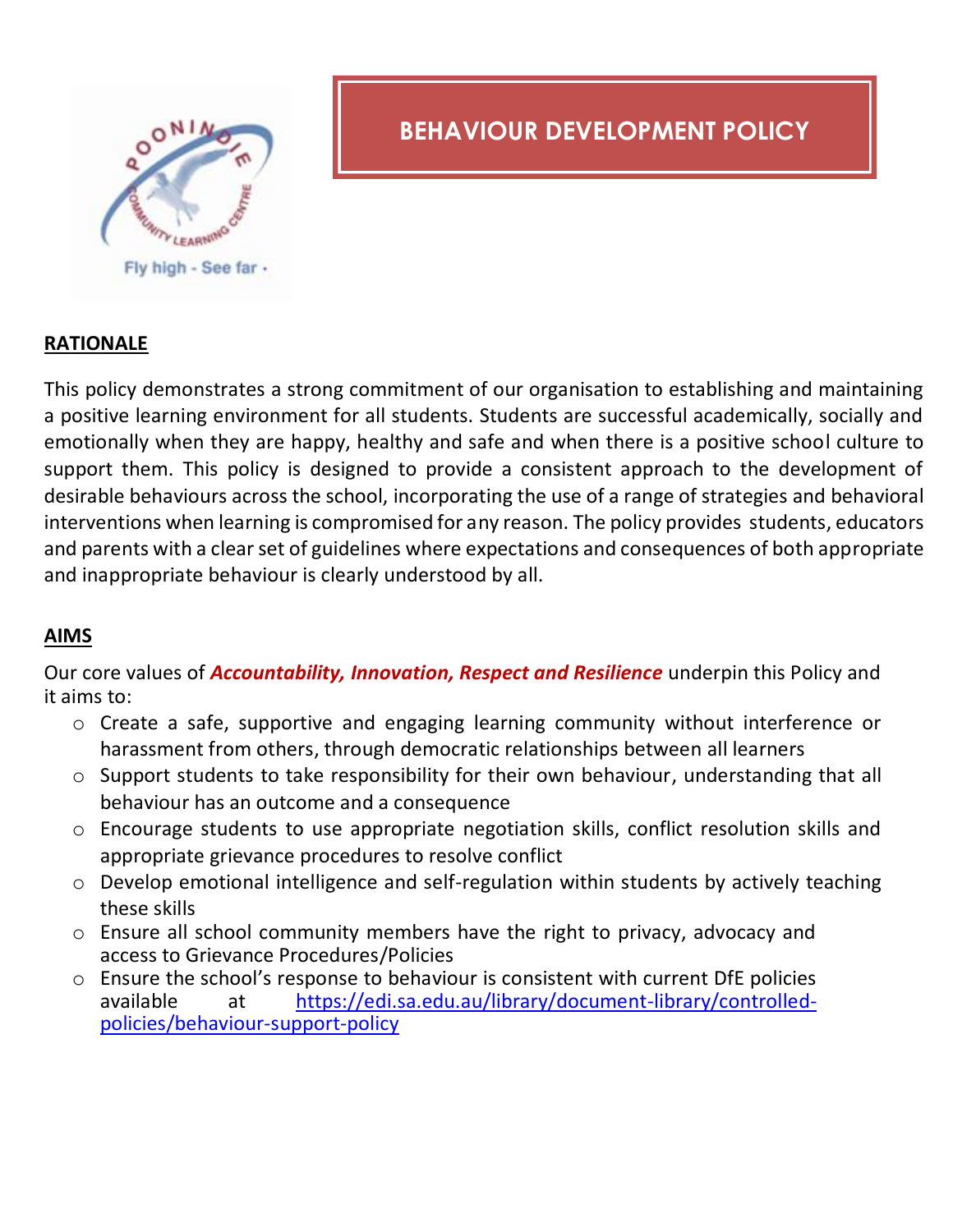

# **BEHAVIOUR DEVELOPMENT POLICY**

# **RATIONALE**

This policy demonstrates a strong commitment of our organisation to establishing and maintaining a positive learning environment for all students. Students are successful academically, socially and emotionally when they are happy, healthy and safe and when there is a positive school culture to support them. This policy is designed to provide a consistent approach to the development of desirable behaviours across the school, incorporating the use of a range of strategies and behavioral interventions when learning is compromised for any reason. The policy provides students, educators and parents with a clear set of guidelines where expectations and consequences of both appropriate and inappropriate behaviour is clearly understood by all.

# **AIMS**

Our core values of *Accountability, Innovation, Respect and Resilience* underpin this Policy and it aims to:

- o Create a safe, supportive and engaging learning community without interference or harassment from others, through democratic relationships between all learners
- o Support students to take responsibility for their own behaviour, understanding that all behaviour has an outcome and a consequence
- o Encourage students to use appropriate negotiation skills, conflict resolution skills and appropriate grievance procedures to resolve conflict
- o Develop emotional intelligence and self-regulation within students by actively teaching these skills
- o Ensure all school community members have the right to privacy, advocacy and access to Grievance Procedures/Policies
- o Ensure the school's response to behaviour is consistent with current DfE policies<br>available at https://edi.sa.edu.au/library/document-library/controlledat [https://edi.sa.edu.au/library/document-library/controlled](https://edi.sa.edu.au/library/document-library/controlled-policies/behaviour-support-policy)[policies/behaviour-support-policy](https://edi.sa.edu.au/library/document-library/controlled-policies/behaviour-support-policy)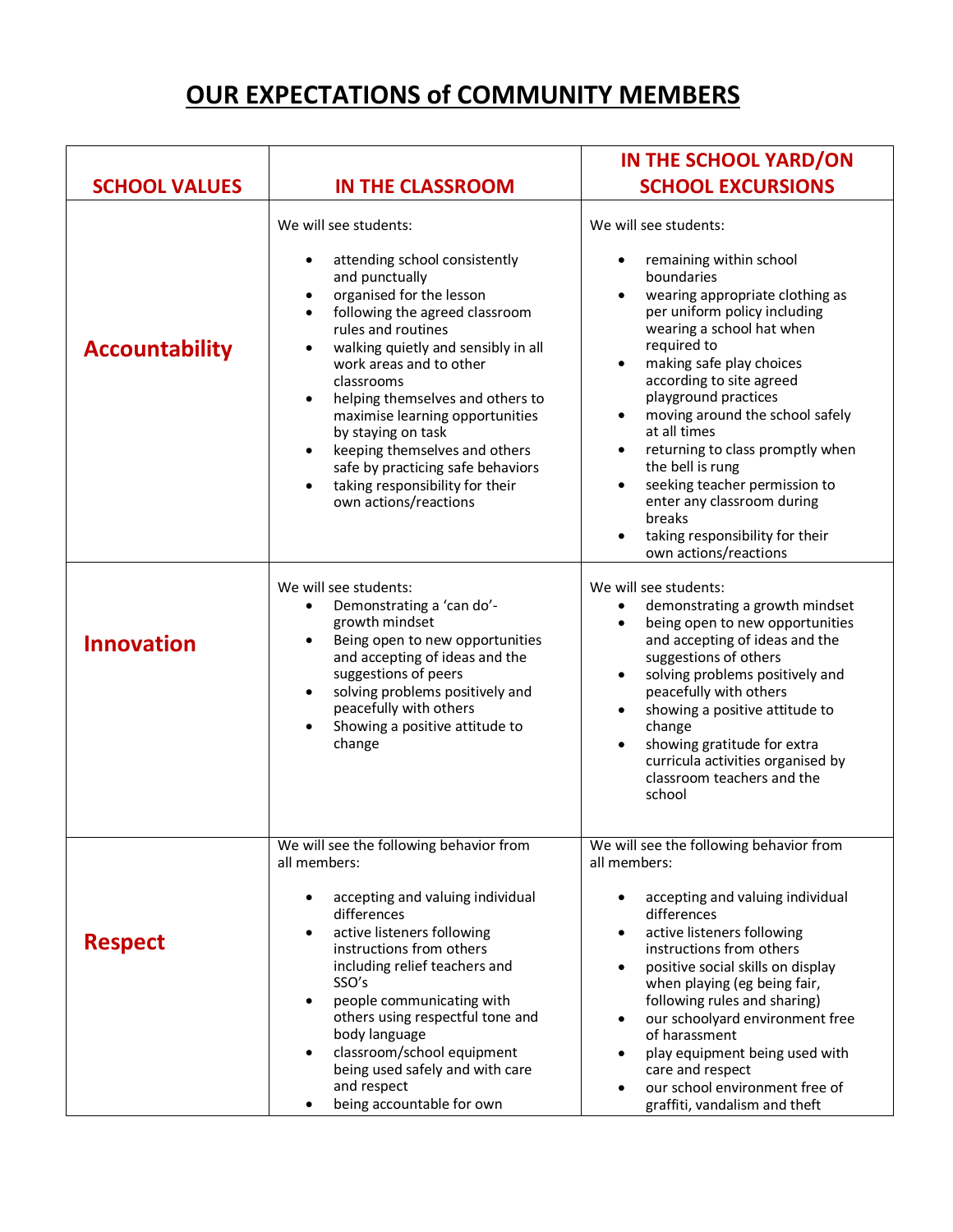# **OUR EXPECTATIONS of COMMUNITY MEMBERS**

|                       |                                                                                                                                                                                                                                                                                                                                                                                                                                                    | IN THE SCHOOL YARD/ON                                                                                                                                                                                                                                                                                                                                                                                                                                                                     |
|-----------------------|----------------------------------------------------------------------------------------------------------------------------------------------------------------------------------------------------------------------------------------------------------------------------------------------------------------------------------------------------------------------------------------------------------------------------------------------------|-------------------------------------------------------------------------------------------------------------------------------------------------------------------------------------------------------------------------------------------------------------------------------------------------------------------------------------------------------------------------------------------------------------------------------------------------------------------------------------------|
| <b>SCHOOL VALUES</b>  | <b>IN THE CLASSROOM</b>                                                                                                                                                                                                                                                                                                                                                                                                                            | <b>SCHOOL EXCURSIONS</b>                                                                                                                                                                                                                                                                                                                                                                                                                                                                  |
|                       | We will see students:                                                                                                                                                                                                                                                                                                                                                                                                                              | We will see students:                                                                                                                                                                                                                                                                                                                                                                                                                                                                     |
| <b>Accountability</b> | attending school consistently<br>and punctually<br>organised for the lesson<br>following the agreed classroom<br>rules and routines<br>walking quietly and sensibly in all<br>work areas and to other<br>classrooms<br>helping themselves and others to<br>maximise learning opportunities<br>by staying on task<br>keeping themselves and others<br>safe by practicing safe behaviors<br>taking responsibility for their<br>own actions/reactions | remaining within school<br>boundaries<br>wearing appropriate clothing as<br>per uniform policy including<br>wearing a school hat when<br>required to<br>making safe play choices<br>according to site agreed<br>playground practices<br>moving around the school safely<br>at all times<br>returning to class promptly when<br>the bell is rung<br>seeking teacher permission to<br>٠<br>enter any classroom during<br>breaks<br>taking responsibility for their<br>own actions/reactions |
| <b>Innovation</b>     | We will see students:<br>Demonstrating a 'can do'-<br>$\bullet$<br>growth mindset<br>Being open to new opportunities<br>and accepting of ideas and the<br>suggestions of peers<br>solving problems positively and<br>peacefully with others<br>Showing a positive attitude to<br>change                                                                                                                                                            | We will see students:<br>demonstrating a growth mindset<br>٠<br>being open to new opportunities<br>and accepting of ideas and the<br>suggestions of others<br>solving problems positively and<br>peacefully with others<br>showing a positive attitude to<br>change<br>showing gratitude for extra<br>curricula activities organised by<br>classroom teachers and the<br>school                                                                                                           |
| <b>Respect</b>        | We will see the following behavior from<br>all members:<br>accepting and valuing individual<br>differences<br>active listeners following<br>$\bullet$<br>instructions from others<br>including relief teachers and<br>SSO's<br>people communicating with<br>٠<br>others using respectful tone and<br>body language<br>classroom/school equipment<br>being used safely and with care<br>and respect<br>being accountable for own                    | We will see the following behavior from<br>all members:<br>accepting and valuing individual<br>٠<br>differences<br>active listeners following<br>٠<br>instructions from others<br>positive social skills on display<br>when playing (eg being fair,<br>following rules and sharing)<br>our schoolyard environment free<br>٠<br>of harassment<br>play equipment being used with<br>٠<br>care and respect<br>our school environment free of<br>graffiti, vandalism and theft                |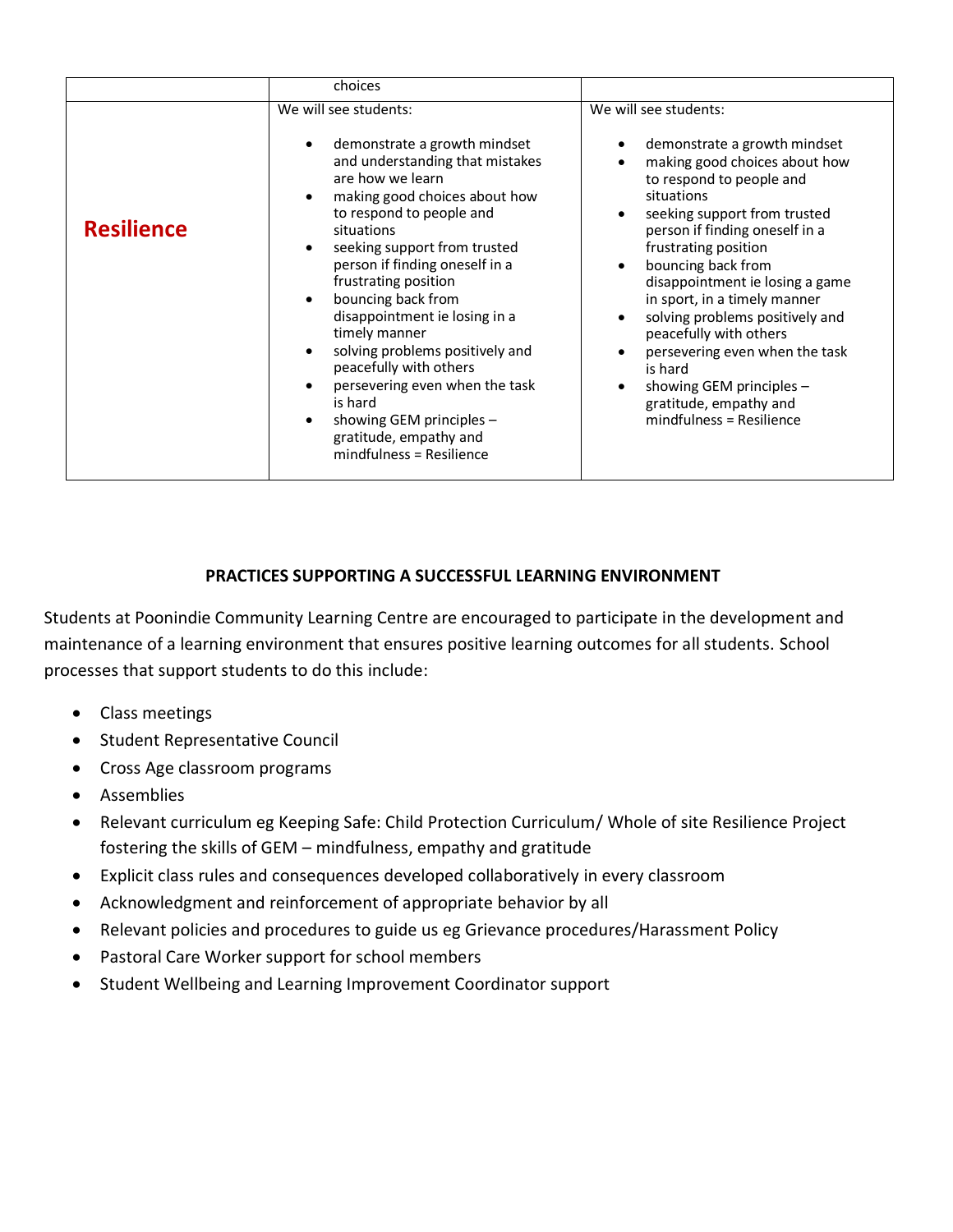|                   | choices                                                                                                                                                                                                                                                                                                                                                                                                                                                                                                                                                      |                                                                                                                                                                                                                                                                                                                                                                                                                                                                                                                                                                     |
|-------------------|--------------------------------------------------------------------------------------------------------------------------------------------------------------------------------------------------------------------------------------------------------------------------------------------------------------------------------------------------------------------------------------------------------------------------------------------------------------------------------------------------------------------------------------------------------------|---------------------------------------------------------------------------------------------------------------------------------------------------------------------------------------------------------------------------------------------------------------------------------------------------------------------------------------------------------------------------------------------------------------------------------------------------------------------------------------------------------------------------------------------------------------------|
| <b>Resilience</b> | We will see students:<br>demonstrate a growth mindset<br>and understanding that mistakes<br>are how we learn<br>making good choices about how<br>to respond to people and<br>situations<br>seeking support from trusted<br>person if finding oneself in a<br>frustrating position<br>bouncing back from<br>disappointment ie losing in a<br>timely manner<br>solving problems positively and<br>peacefully with others<br>persevering even when the task<br>is hard<br>showing GEM principles $-$<br>٠<br>gratitude, empathy and<br>mindfulness = Resilience | We will see students:<br>demonstrate a growth mindset<br>making good choices about how<br>to respond to people and<br>situations<br>seeking support from trusted<br>$\bullet$<br>person if finding oneself in a<br>frustrating position<br>bouncing back from<br>$\bullet$<br>disappointment ie losing a game<br>in sport, in a timely manner<br>solving problems positively and<br>$\bullet$<br>peacefully with others<br>persevering even when the task<br>is hard<br>showing GEM principles -<br>$\bullet$<br>gratitude, empathy and<br>mindfulness = Resilience |

# **PRACTICES SUPPORTING A SUCCESSFUL LEARNING ENVIRONMENT**

Students at Poonindie Community Learning Centre are encouraged to participate in the development and maintenance of a learning environment that ensures positive learning outcomes for all students. School processes that support students to do this include:

- Class meetings
- Student Representative Council
- Cross Age classroom programs
- Assemblies
- Relevant curriculum eg Keeping Safe: Child Protection Curriculum/ Whole of site Resilience Project fostering the skills of GEM – mindfulness, empathy and gratitude
- Explicit class rules and consequences developed collaboratively in every classroom
- Acknowledgment and reinforcement of appropriate behavior by all
- Relevant policies and procedures to guide us eg Grievance procedures/Harassment Policy
- Pastoral Care Worker support for school members
- Student Wellbeing and Learning Improvement Coordinator support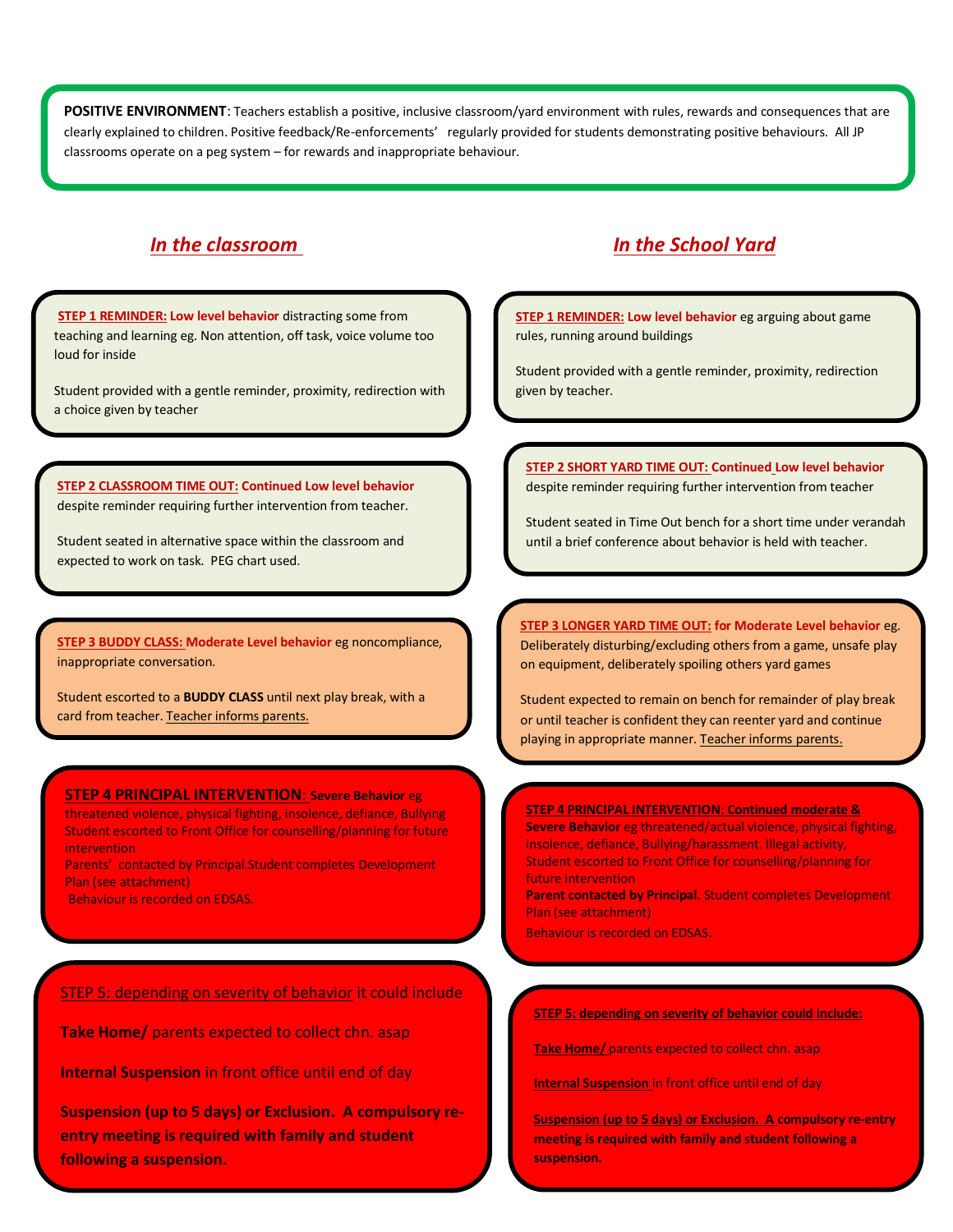clearly explained to children. Positive feedback/Re-enforcements' regularly provided for students demonstrating positive behaviours. All JP POSITIVE ENVIRONMENT: Teachers establish a positive, inclusive classroom/yard environment with rules, rewards and consequences that are classrooms operate on a peg system – for rewards and inappropriate behaviour.

**STEP 1 REMINDER: Low level behavior** distracting some from teaching and learning eg. Non attention, off task, voice volume too loud for inside

Student provided with a gentle reminder, proximity, redirection with a choice given by teacher

**STEP 2 CLASSROOM TIME OUT: Continued Low level behavior** despite reminder requiring further intervention from teacher.

.

Student seated in alternative space within the classroom and expected to work on task. PEG chart used.

**STEP 3 BUDDY CLASS: Moderate Level behavior** eg noncompliance, inappropriate conversation.

Student escorted to a **BUDDY CLASS** until next play break, with a card from teacher. Teacher informs parents.

#### **STEP 4 PRINCIPAL INTERVENTION**: **Severe Behavior** eg

threatened violence, physical fighting, insolence, defiance, Bullying Student escorted to Front Office for counselling/planning for future intervention

Parents' contacted by Principal.Student completes Development Plan (see attachment)

Behaviour is recorded on EDSAS.

#### STEP 5: depending on severity of behavior it could include

**Take Home/** parents expected to collect chn. asap

**Internal Suspension** in front office until end of day

**Suspension (up to 5 days) or Exclusion. A compulsory reentry meeting is required with family and student following a suspension.**

## *In the classroom In the School Yard*

**STEP 1 REMINDER: Low level behavior** eg arguing about game rules, running around buildings

Student provided with a gentle reminder, proximity, redirection given by teacher.

**STEP 2 SHORT YARD TIME OUT: Continued Low level behavior** despite reminder requiring further intervention from teacher

Student seated in Time Out bench for a short time under verandah until a brief conference about behavior is held with teacher.

**STEP 3 LONGER YARD TIME OUT: for Moderate Level behavior** eg. Deliberately disturbing/excluding others from a game, unsafe play on equipment, deliberately spoiling others yard games

Student expected to remain on bench for remainder of play break or until teacher is confident they can reenter yard and continue playing in appropriate manner. Teacher informs parents.

#### **STEP 4 PRINCIPAL INTERVENTION**: **Continued moderate &**

**Severe Behavior** eg threatened/actual violence, physical fighting, insolence, defiance, Bullying/harassment. Illegal activity, Student escorted to Front Office for counselling/planning for future intervention

**Parent contacted by Principal**. Student completes Development Plan (see attachment)

Behaviour is recorded on EDSAS.

#### **STEP 5: depending on severity of behavior could include:**

**Take Home/** parents expected to collect chn. asap

**Internal Suspension** in front office until end of day

**Suspension (up to 5 days) or Exclusion. A compulsory re-entry meeting is required with family and student following a suspension.**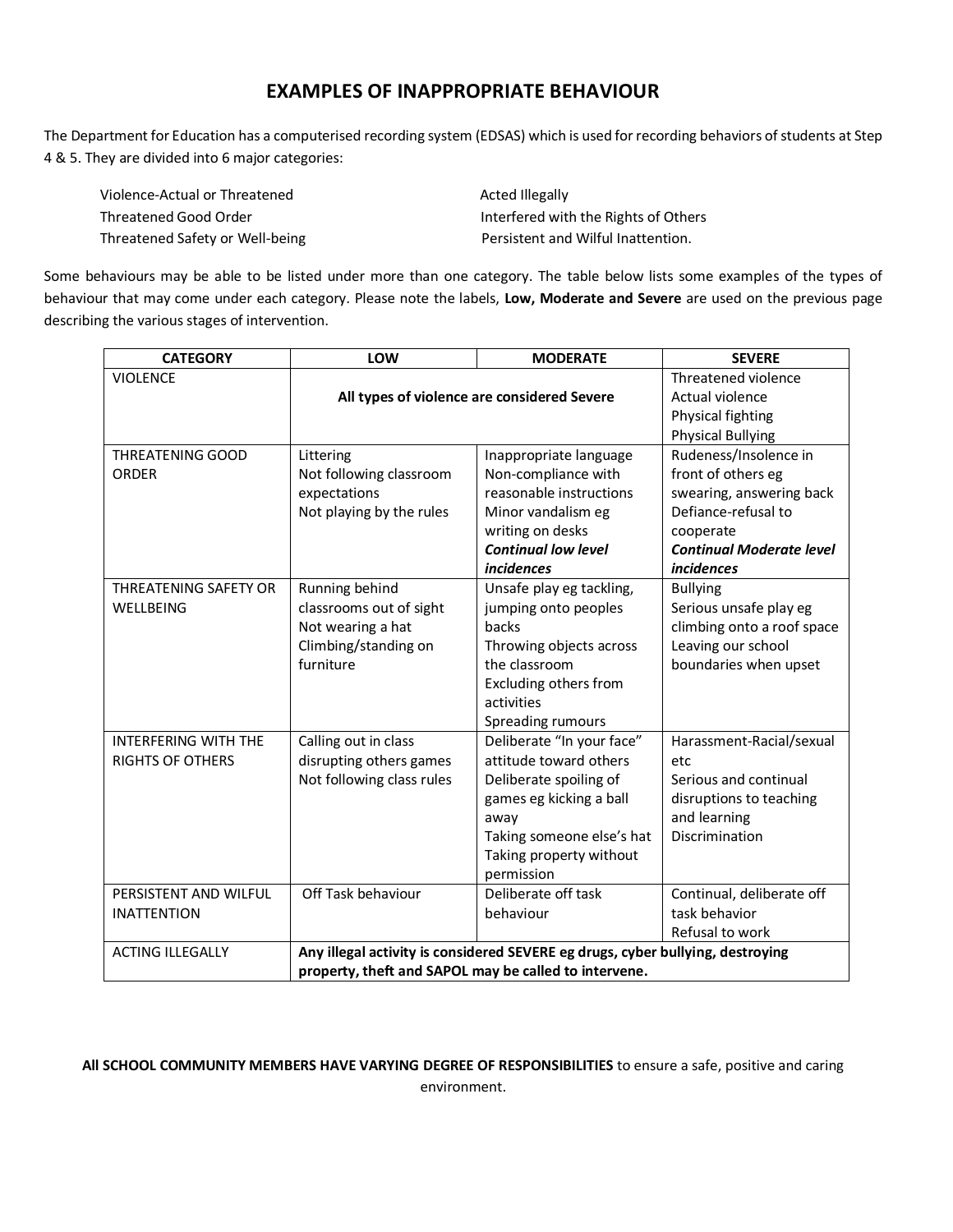# **EXAMPLES OF INAPPROPRIATE BEHAVIOUR**

The Department for Education has a computerised recording system (EDSAS) which is used for recording behaviors of students at Step 4 & 5. They are divided into 6 major categories:

| Violence-Actual or Threatened   | Acted Illegally                      |  |
|---------------------------------|--------------------------------------|--|
| Threatened Good Order           | Interfered with the Rights of Others |  |
| Threatened Safety or Well-being | Persistent and Wilful Inattention.   |  |

Some behaviours may be able to be listed under more than one category. The table below lists some examples of the types of behaviour that may come under each category. Please note the labels, **Low, Moderate and Severe** are used on the previous page describing the various stages of intervention.

| <b>CATEGORY</b>             | LOW                                                   | <b>MODERATE</b>                                                                | <b>SEVERE</b>                   |
|-----------------------------|-------------------------------------------------------|--------------------------------------------------------------------------------|---------------------------------|
| <b>VIOLENCE</b>             |                                                       |                                                                                | Threatened violence             |
|                             |                                                       | All types of violence are considered Severe                                    | Actual violence                 |
|                             |                                                       |                                                                                | Physical fighting               |
|                             |                                                       |                                                                                | <b>Physical Bullying</b>        |
| <b>THREATENING GOOD</b>     | Littering                                             | Inappropriate language                                                         | Rudeness/Insolence in           |
| <b>ORDER</b>                | Not following classroom                               | Non-compliance with                                                            | front of others eg              |
|                             | expectations                                          | reasonable instructions                                                        | swearing, answering back        |
|                             | Not playing by the rules                              | Minor vandalism eg                                                             | Defiance-refusal to             |
|                             |                                                       | writing on desks                                                               | cooperate                       |
|                             |                                                       | <b>Continual low level</b>                                                     | <b>Continual Moderate level</b> |
|                             |                                                       | <i>incidences</i>                                                              | <i>incidences</i>               |
| THREATENING SAFETY OR       | Running behind                                        | Unsafe play eg tackling,                                                       | <b>Bullying</b>                 |
| WELLBEING                   | classrooms out of sight                               | jumping onto peoples                                                           | Serious unsafe play eg          |
|                             | Not wearing a hat                                     | backs                                                                          | climbing onto a roof space      |
|                             | Climbing/standing on                                  | Throwing objects across                                                        | Leaving our school              |
|                             | furniture                                             | the classroom                                                                  | boundaries when upset           |
|                             |                                                       | Excluding others from                                                          |                                 |
|                             |                                                       | activities                                                                     |                                 |
|                             |                                                       | Spreading rumours                                                              |                                 |
| <b>INTERFERING WITH THE</b> | Calling out in class                                  | Deliberate "In your face"                                                      | Harassment-Racial/sexual        |
| <b>RIGHTS OF OTHERS</b>     | disrupting others games                               | attitude toward others                                                         | etc                             |
|                             | Not following class rules                             | Deliberate spoiling of                                                         | Serious and continual           |
|                             |                                                       | games eg kicking a ball                                                        | disruptions to teaching         |
|                             |                                                       | away                                                                           | and learning                    |
|                             |                                                       | Taking someone else's hat                                                      | Discrimination                  |
|                             |                                                       | Taking property without                                                        |                                 |
|                             |                                                       | permission                                                                     |                                 |
| PERSISTENT AND WILFUL       | Off Task behaviour                                    | Deliberate off task                                                            | Continual, deliberate off       |
| <b>INATTENTION</b>          |                                                       | behaviour                                                                      | task behavior                   |
|                             |                                                       |                                                                                | Refusal to work                 |
| <b>ACTING ILLEGALLY</b>     |                                                       | Any illegal activity is considered SEVERE eg drugs, cyber bullying, destroying |                                 |
|                             | property, theft and SAPOL may be called to intervene. |                                                                                |                                 |

**All SCHOOL COMMUNITY MEMBERS HAVE VARYING DEGREE OF RESPONSIBILITIES** to ensure a safe, positive and caring environment.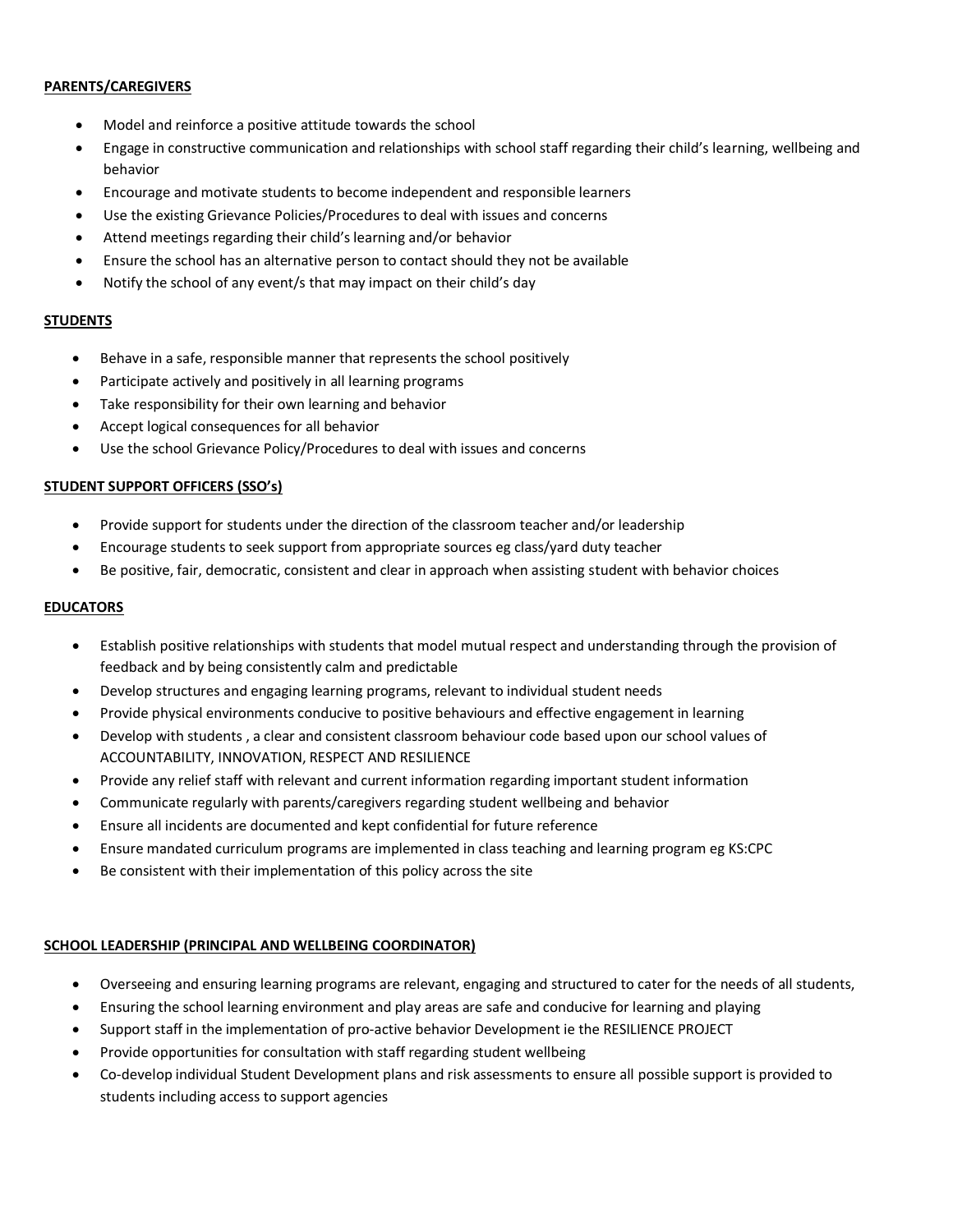#### **PARENTS/CAREGIVERS**

- Model and reinforce a positive attitude towards the school
- Engage in constructive communication and relationships with school staff regarding their child's learning, wellbeing and behavior
- Encourage and motivate students to become independent and responsible learners
- Use the existing Grievance Policies/Procedures to deal with issues and concerns
- Attend meetings regarding their child's learning and/or behavior
- Ensure the school has an alternative person to contact should they not be available
- Notify the school of any event/s that may impact on their child's day

#### **STUDENTS**

- Behave in a safe, responsible manner that represents the school positively
- Participate actively and positively in all learning programs
- Take responsibility for their own learning and behavior
- Accept logical consequences for all behavior
- Use the school Grievance Policy/Procedures to deal with issues and concerns

#### **STUDENT SUPPORT OFFICERS (SSO's)**

- Provide support for students under the direction of the classroom teacher and/or leadership
- Encourage students to seek support from appropriate sources eg class/yard duty teacher
- Be positive, fair, democratic, consistent and clear in approach when assisting student with behavior choices

#### **EDUCATORS**

- Establish positive relationships with students that model mutual respect and understanding through the provision of feedback and by being consistently calm and predictable
- Develop structures and engaging learning programs, relevant to individual student needs
- Provide physical environments conducive to positive behaviours and effective engagement in learning
- Develop with students , a clear and consistent classroom behaviour code based upon our school values of ACCOUNTABILITY, INNOVATION, RESPECT AND RESILIENCE
- Provide any relief staff with relevant and current information regarding important student information
- Communicate regularly with parents/caregivers regarding student wellbeing and behavior
- Ensure all incidents are documented and kept confidential for future reference
- Ensure mandated curriculum programs are implemented in class teaching and learning program eg KS:CPC
- Be consistent with their implementation of this policy across the site

#### **SCHOOL LEADERSHIP (PRINCIPAL AND WELLBEING COORDINATOR)**

- Overseeing and ensuring learning programs are relevant, engaging and structured to cater for the needs of all students,
- Ensuring the school learning environment and play areas are safe and conducive for learning and playing
- Support staff in the implementation of pro-active behavior Development ie the RESILIENCE PROJECT
- Provide opportunities for consultation with staff regarding student wellbeing
- Co-develop individual Student Development plans and risk assessments to ensure all possible support is provided to students including access to support agencies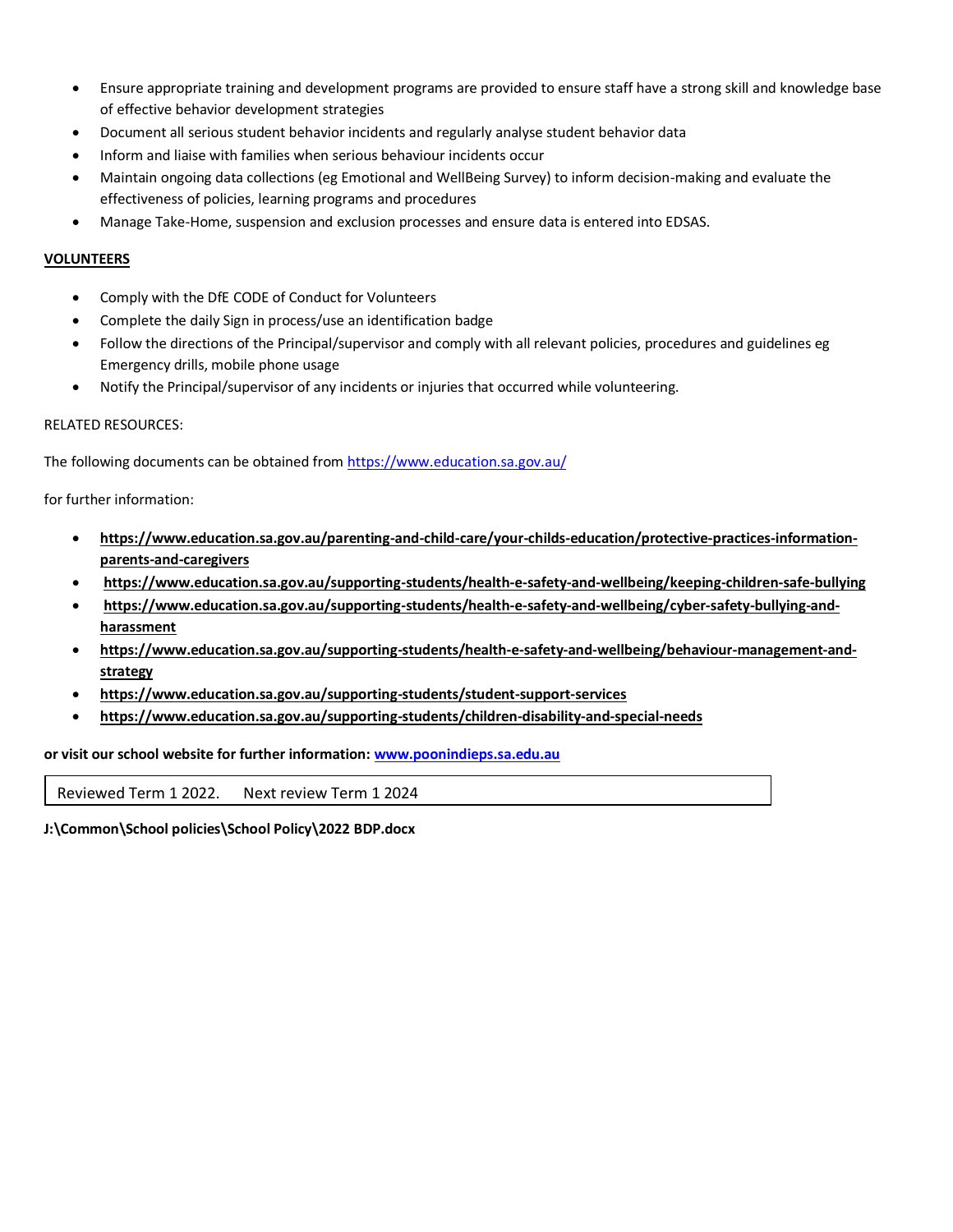- Ensure appropriate training and development programs are provided to ensure staff have a strong skill and knowledge base of effective behavior development strategies
- Document all serious student behavior incidents and regularly analyse student behavior data
- Inform and liaise with families when serious behaviour incidents occur
- Maintain ongoing data collections (eg Emotional and WellBeing Survey) to inform decision-making and evaluate the effectiveness of policies, learning programs and procedures
- Manage Take-Home, suspension and exclusion processes and ensure data is entered into EDSAS.

### **VOLUNTEERS**

- Comply with the DfE CODE of Conduct for Volunteers
- Complete the daily Sign in process/use an identification badge
- Follow the directions of the Principal/supervisor and comply with all relevant policies, procedures and guidelines eg Emergency drills, mobile phone usage
- Notify the Principal/supervisor of any incidents or injuries that occurred while volunteering.

#### RELATED RESOURCES:

The following documents can be obtained from<https://www.education.sa.gov.au/>

for further information:

- **[https://www.education.sa.gov.au/parenting-and-child-care/your-childs-education/protective-practices-information](https://www.education.sa.gov.au/parenting-and-child-care/your-childs-education/protective-practices-information-parents-and-caregivers)[parents-and-caregivers](https://www.education.sa.gov.au/parenting-and-child-care/your-childs-education/protective-practices-information-parents-and-caregivers)**
- **<https://www.education.sa.gov.au/supporting-students/health-e-safety-and-wellbeing/keeping-children-safe-bullying>**
- **[https://www.education.sa.gov.au/supporting-students/health-e-safety-and-wellbeing/cyber-safety-bullying-and](https://www.education.sa.gov.au/supporting-students/health-e-safety-and-wellbeing/cyber-safety-bullying-and-harassment)[harassment](https://www.education.sa.gov.au/supporting-students/health-e-safety-and-wellbeing/cyber-safety-bullying-and-harassment)**
- **[https://www.education.sa.gov.au/supporting-students/health-e-safety-and-wellbeing/behaviour-management-and](https://www.education.sa.gov.au/supporting-students/health-e-safety-and-wellbeing/behaviour-management-and-strategy)[strategy](https://www.education.sa.gov.au/supporting-students/health-e-safety-and-wellbeing/behaviour-management-and-strategy)**
- **<https://www.education.sa.gov.au/supporting-students/student-support-services>**
- **<https://www.education.sa.gov.au/supporting-students/children-disability-and-special-needs>**

**or visit our school website for further information[: www.poonindieps.sa.edu.au](http://www.poonindieps.sa.edu.au/)**

Reviewed Term 1 2022. Next review Term 1 2024

**J:\Common\School policies\School Policy\2022 BDP.docx**